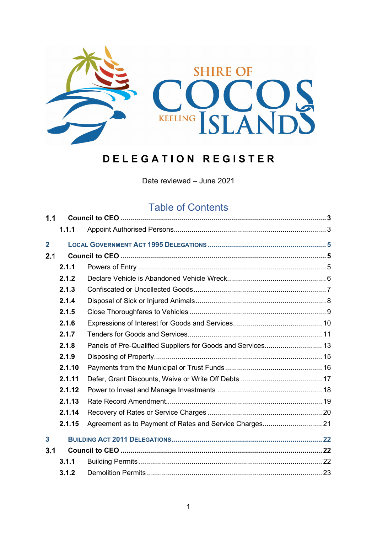

# **D E L E G A T I O N R E G I S T E R**

Date reviewed – June 2021

## Table of Contents

| 1.1            |        |                                                             |  |  |  |
|----------------|--------|-------------------------------------------------------------|--|--|--|
|                | 1.1.1  |                                                             |  |  |  |
| $\overline{2}$ |        |                                                             |  |  |  |
| 2.1            |        |                                                             |  |  |  |
|                | 2.1.1  |                                                             |  |  |  |
|                | 2.1.2  |                                                             |  |  |  |
|                | 2.1.3  |                                                             |  |  |  |
|                | 2.1.4  |                                                             |  |  |  |
|                | 2.1.5  |                                                             |  |  |  |
|                | 2.1.6  |                                                             |  |  |  |
|                | 2.1.7  |                                                             |  |  |  |
|                | 2.1.8  | Panels of Pre-Qualified Suppliers for Goods and Services 13 |  |  |  |
|                | 2.1.9  |                                                             |  |  |  |
|                | 2.1.10 |                                                             |  |  |  |
|                | 2.1.11 |                                                             |  |  |  |
|                | 2.1.12 |                                                             |  |  |  |
|                | 2.1.13 |                                                             |  |  |  |
|                | 2.1.14 |                                                             |  |  |  |
|                | 2.1.15 | Agreement as to Payment of Rates and Service Charges 21     |  |  |  |
| $\mathbf{3}$   |        |                                                             |  |  |  |
| 3.1            |        |                                                             |  |  |  |
|                | 3.1.1  |                                                             |  |  |  |
|                | 3.1.2  |                                                             |  |  |  |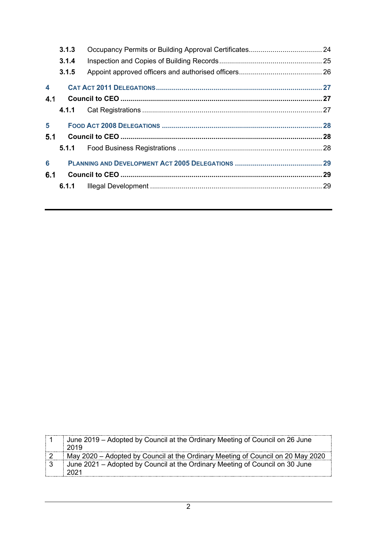|                  | 3.1.3 |  |
|------------------|-------|--|
|                  | 3.1.4 |  |
|                  | 3.1.5 |  |
| $\blacktriangle$ |       |  |
| 4.1              |       |  |
|                  |       |  |
| 5                |       |  |
| 5.1              |       |  |
|                  |       |  |
|                  |       |  |
| 6                |       |  |
| 6.1              |       |  |

| June 2019 – Adopted by Council at the Ordinary Meeting of Council on 26 June<br>2019 |
|--------------------------------------------------------------------------------------|
| May 2020 – Adopted by Council at the Ordinary Meeting of Council on 20 May 2020      |
| June 2021 – Adopted by Council at the Ordinary Meeting of Council on 30 June<br>2021 |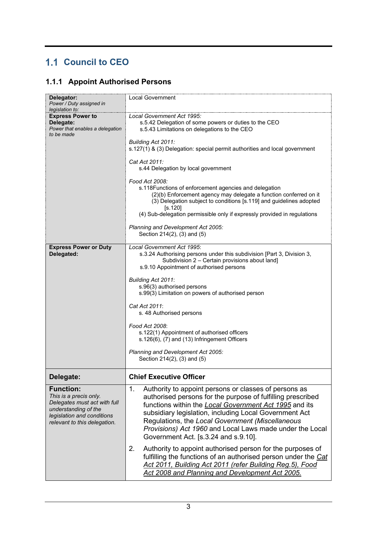## <span id="page-2-0"></span>**1.1 Council to CEO**

### <span id="page-2-1"></span>**1.1.1 Appoint Authorised Persons**

| Delegator:<br>Power / Duty assigned in<br>legislation to:                                                                                                        | <b>Local Government</b>                                                                                                                                                                                                                                                                                                                                                                                                                                                                                                                                                                                                                                                            |
|------------------------------------------------------------------------------------------------------------------------------------------------------------------|------------------------------------------------------------------------------------------------------------------------------------------------------------------------------------------------------------------------------------------------------------------------------------------------------------------------------------------------------------------------------------------------------------------------------------------------------------------------------------------------------------------------------------------------------------------------------------------------------------------------------------------------------------------------------------|
| <b>Express Power to</b><br>Delegate:<br>Power that enables a delegation<br>to be made                                                                            | Local Government Act 1995:<br>s.5.42 Delegation of some powers or duties to the CEO<br>s.5.43 Limitations on delegations to the CEO<br>Building Act 2011:<br>s.127(1) & (3) Delegation: special permit authorities and local government<br>Cat Act 2011:<br>s.44 Delegation by local government<br>Food Act 2008:<br>s.118Functions of enforcement agencies and delegation<br>(2)(b) Enforcement agency may delegate a function conferred on it<br>(3) Delegation subject to conditions [s.119] and guidelines adopted<br>[s.120]<br>(4) Sub-delegation permissible only if expressly provided in regulations<br>Planning and Development Act 2005:<br>Section 214(2), (3) and (5) |
| <b>Express Power or Duty</b>                                                                                                                                     | Local Government Act 1995:                                                                                                                                                                                                                                                                                                                                                                                                                                                                                                                                                                                                                                                         |
| Delegated:                                                                                                                                                       | s.3.24 Authorising persons under this subdivision [Part 3, Division 3,<br>Subdivision 2 - Certain provisions about land]<br>s.9.10 Appointment of authorised persons                                                                                                                                                                                                                                                                                                                                                                                                                                                                                                               |
|                                                                                                                                                                  | Building Act 2011:                                                                                                                                                                                                                                                                                                                                                                                                                                                                                                                                                                                                                                                                 |
|                                                                                                                                                                  | s.96(3) authorised persons<br>s.99(3) Limitation on powers of authorised person                                                                                                                                                                                                                                                                                                                                                                                                                                                                                                                                                                                                    |
|                                                                                                                                                                  | Cat Act 2011:<br>s. 48 Authorised persons                                                                                                                                                                                                                                                                                                                                                                                                                                                                                                                                                                                                                                          |
|                                                                                                                                                                  | Food Act 2008:                                                                                                                                                                                                                                                                                                                                                                                                                                                                                                                                                                                                                                                                     |
|                                                                                                                                                                  | s.122(1) Appointment of authorised officers<br>s.126(6), (7) and (13) Infringement Officers                                                                                                                                                                                                                                                                                                                                                                                                                                                                                                                                                                                        |
|                                                                                                                                                                  | Planning and Development Act 2005:<br>Section 214(2), (3) and (5)                                                                                                                                                                                                                                                                                                                                                                                                                                                                                                                                                                                                                  |
| Delegate:                                                                                                                                                        | <b>Chief Executive Officer</b>                                                                                                                                                                                                                                                                                                                                                                                                                                                                                                                                                                                                                                                     |
| <b>Function:</b><br>This is a precis only.<br>Delegates must act with full<br>understanding of the<br>legislation and conditions<br>relevant to this delegation. | 1.<br>Authority to appoint persons or classes of persons as<br>authorised persons for the purpose of fulfilling prescribed<br>functions within the <b>Local Government Act 1995</b> and its<br>subsidiary legislation, including Local Government Act<br>Regulations, the Local Government (Miscellaneous<br>Provisions) Act 1960 and Local Laws made under the Local<br>Government Act. [s.3.24 and s.9.10].                                                                                                                                                                                                                                                                      |
|                                                                                                                                                                  | 2.<br>Authority to appoint authorised person for the purposes of<br>fulfilling the functions of an authorised person under the Cat<br>Act 2011, Building Act 2011 (refer Building Reg.5), Food<br>Act 2008 and Planning and Development Act 2005.                                                                                                                                                                                                                                                                                                                                                                                                                                  |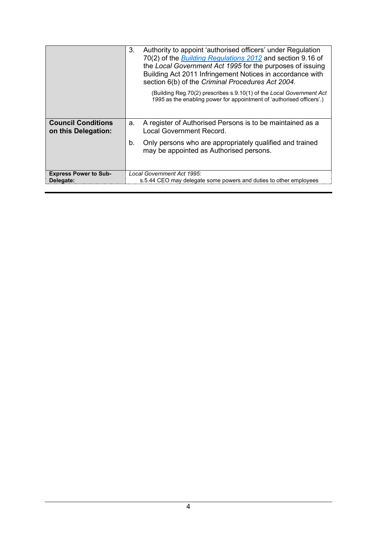|                                                  | 3. | Authority to appoint 'authorised officers' under Regulation<br>70(2) of the <b>Building Regulations 2012</b> and section 9.16 of<br>the Local Government Act 1995 for the purposes of issuing<br>Building Act 2011 Infringement Notices in accordance with<br>section 6(b) of the Criminal Procedures Act 2004.<br>(Building Reg.70(2) prescribes s.9.10(1) of the Local Government Act<br>1995 as the enabling power for appointment of 'authorised officers'.) |
|--------------------------------------------------|----|------------------------------------------------------------------------------------------------------------------------------------------------------------------------------------------------------------------------------------------------------------------------------------------------------------------------------------------------------------------------------------------------------------------------------------------------------------------|
| <b>Council Conditions</b><br>on this Delegation: | a. | A register of Authorised Persons is to be maintained as a<br><b>Local Government Record.</b>                                                                                                                                                                                                                                                                                                                                                                     |
|                                                  | b. | Only persons who are appropriately qualified and trained<br>may be appointed as Authorised persons.                                                                                                                                                                                                                                                                                                                                                              |
| <b>Express Power to Sub-</b><br>Delegate:        |    | Local Government Act 1995:<br>s.5.44 CEO may delegate some powers and duties to other employees                                                                                                                                                                                                                                                                                                                                                                  |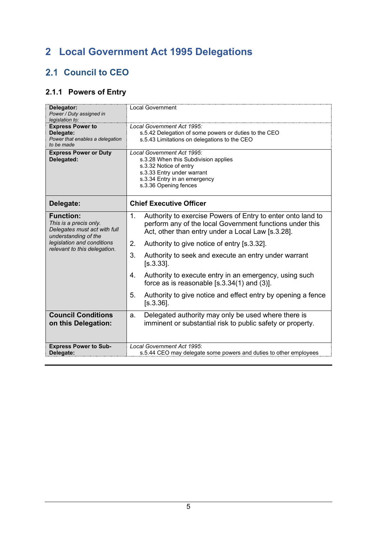# <span id="page-4-0"></span>**2 Local Government Act 1995 Delegations**

## <span id="page-4-1"></span>2.1 Council to CEO

### <span id="page-4-2"></span>**2.1.1 Powers of Entry**

| Delegator:<br>Power / Duty assigned in<br>legislation to:                                                                                                        | <b>Local Government</b>                                                                                                                                                                                                                                                                                                                                                                                                                                                                                                                     |
|------------------------------------------------------------------------------------------------------------------------------------------------------------------|---------------------------------------------------------------------------------------------------------------------------------------------------------------------------------------------------------------------------------------------------------------------------------------------------------------------------------------------------------------------------------------------------------------------------------------------------------------------------------------------------------------------------------------------|
| <b>Express Power to</b><br>Delegate:<br>Power that enables a delegation<br>to be made                                                                            | Local Government Act 1995:<br>s.5.42 Delegation of some powers or duties to the CEO<br>s.5.43 Limitations on delegations to the CEO                                                                                                                                                                                                                                                                                                                                                                                                         |
| <b>Express Power or Duty</b><br>Delegated:                                                                                                                       | Local Government Act 1995:<br>s.3.28 When this Subdivision applies<br>s.3.32 Notice of entry<br>s.3.33 Entry under warrant<br>s.3.34 Entry in an emergency<br>s.3.36 Opening fences                                                                                                                                                                                                                                                                                                                                                         |
| Delegate:                                                                                                                                                        | <b>Chief Executive Officer</b>                                                                                                                                                                                                                                                                                                                                                                                                                                                                                                              |
| <b>Function:</b><br>This is a precis only.<br>Delegates must act with full<br>understanding of the<br>legislation and conditions<br>relevant to this delegation. | Authority to exercise Powers of Entry to enter onto land to<br>1.<br>perform any of the local Government functions under this<br>Act, other than entry under a Local Law [s.3.28].<br>2.<br>Authority to give notice of entry [s.3.32].<br>3.<br>Authority to seek and execute an entry under warrant<br>$[s.3.33]$ .<br>Authority to execute entry in an emergency, using such<br>4.<br>force as is reasonable $[s.3.34(1)$ and $(3)]$ .<br>5 <sub>1</sub><br>Authority to give notice and effect entry by opening a fence<br>$[s.3.36]$ . |
| <b>Council Conditions</b>                                                                                                                                        | Delegated authority may only be used where there is<br>a.                                                                                                                                                                                                                                                                                                                                                                                                                                                                                   |
| on this Delegation:                                                                                                                                              | imminent or substantial risk to public safety or property.                                                                                                                                                                                                                                                                                                                                                                                                                                                                                  |
| <b>Express Power to Sub-</b><br>Delegate:                                                                                                                        | Local Government Act 1995:<br>s.5.44 CEO may delegate some powers and duties to other employees                                                                                                                                                                                                                                                                                                                                                                                                                                             |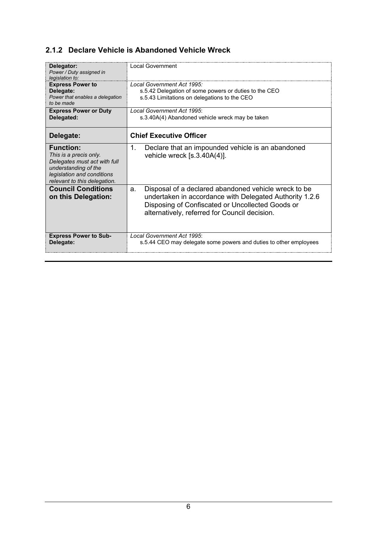#### <span id="page-5-0"></span>**2.1.2 Declare Vehicle is Abandoned Vehicle Wreck**

| Delegator:<br>Power / Duty assigned in<br>legislation to:                                                                                                        | Local Government                                                                                                                                                                                                           |
|------------------------------------------------------------------------------------------------------------------------------------------------------------------|----------------------------------------------------------------------------------------------------------------------------------------------------------------------------------------------------------------------------|
| <b>Express Power to</b><br>Delegate:<br>Power that enables a delegation<br>to be made                                                                            | Local Government Act 1995:<br>s.5.42 Delegation of some powers or duties to the CEO<br>s.5.43 Limitations on delegations to the CEO                                                                                        |
| <b>Express Power or Duty</b><br>Delegated:                                                                                                                       | Local Government Act 1995:<br>s.3.40A(4) Abandoned vehicle wreck may be taken                                                                                                                                              |
| Delegate:                                                                                                                                                        | <b>Chief Executive Officer</b>                                                                                                                                                                                             |
| <b>Function:</b><br>This is a precis only.<br>Delegates must act with full<br>understanding of the<br>legislation and conditions<br>relevant to this delegation. | 1.<br>Declare that an impounded vehicle is an abandoned<br>vehicle wreck $[s.3.40A(4)].$                                                                                                                                   |
| <b>Council Conditions</b><br>on this Delegation:                                                                                                                 | Disposal of a declared abandoned vehicle wreck to be<br>a.<br>undertaken in accordance with Delegated Authority 1.2.6<br>Disposing of Confiscated or Uncollected Goods or<br>alternatively, referred for Council decision. |
| <b>Express Power to Sub-</b><br>Delegate:                                                                                                                        | Local Government Act 1995:<br>s.5.44 CEO may delegate some powers and duties to other employees                                                                                                                            |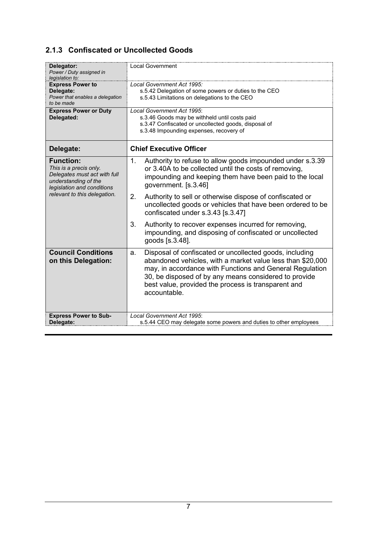#### <span id="page-6-0"></span>**2.1.3 Confiscated or Uncollected Goods**

| Delegator:<br>Power / Duty assigned in<br>legislation to:                                                                        | <b>Local Government</b>                                                                                                                                                                                                                                                                                                 |
|----------------------------------------------------------------------------------------------------------------------------------|-------------------------------------------------------------------------------------------------------------------------------------------------------------------------------------------------------------------------------------------------------------------------------------------------------------------------|
| <b>Express Power to</b><br>Delegate:<br>Power that enables a delegation<br>to be made                                            | Local Government Act 1995:<br>s.5.42 Delegation of some powers or duties to the CEO<br>s.5.43 Limitations on delegations to the CEO                                                                                                                                                                                     |
| <b>Express Power or Duty</b><br>Delegated:                                                                                       | Local Government Act 1995:<br>s.3.46 Goods may be withheld until costs paid<br>s.3.47 Confiscated or uncollected goods, disposal of<br>s.3.48 Impounding expenses, recovery of                                                                                                                                          |
| Delegate:                                                                                                                        | <b>Chief Executive Officer</b>                                                                                                                                                                                                                                                                                          |
| <b>Function:</b><br>This is a precis only.<br>Delegates must act with full<br>understanding of the<br>legislation and conditions | Authority to refuse to allow goods impounded under s.3.39<br>$\mathbf{1}$ .<br>or 3.40A to be collected until the costs of removing,<br>impounding and keeping them have been paid to the local<br>government. [s.3.46]                                                                                                 |
| relevant to this delegation.                                                                                                     | 2.<br>Authority to sell or otherwise dispose of confiscated or<br>uncollected goods or vehicles that have been ordered to be<br>confiscated under s.3.43 [s.3.47]                                                                                                                                                       |
|                                                                                                                                  | 3.<br>Authority to recover expenses incurred for removing,<br>impounding, and disposing of confiscated or uncollected<br>goods [s.3.48].                                                                                                                                                                                |
| <b>Council Conditions</b><br>on this Delegation:                                                                                 | Disposal of confiscated or uncollected goods, including<br>a.<br>abandoned vehicles, with a market value less than \$20,000<br>may, in accordance with Functions and General Regulation<br>30, be disposed of by any means considered to provide<br>best value, provided the process is transparent and<br>accountable. |
| <b>Express Power to Sub-</b><br>Delegate:                                                                                        | Local Government Act 1995:<br>s.5.44 CEO may delegate some powers and duties to other employees                                                                                                                                                                                                                         |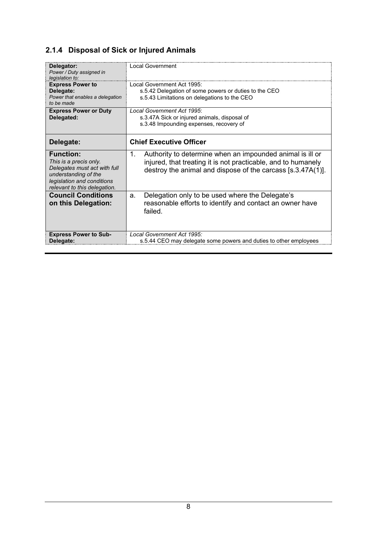## <span id="page-7-0"></span>**2.1.4 Disposal of Sick or Injured Animals**

| Delegator:<br>Power / Duty assigned in<br>legislation to:                                                                                                        | Local Government                                                                                                                                                                                     |
|------------------------------------------------------------------------------------------------------------------------------------------------------------------|------------------------------------------------------------------------------------------------------------------------------------------------------------------------------------------------------|
| <b>Express Power to</b><br>Delegate:<br>Power that enables a delegation<br>to be made                                                                            | Local Government Act 1995:<br>s.5.42 Delegation of some powers or duties to the CEO<br>s.5.43 Limitations on delegations to the CEO                                                                  |
| <b>Express Power or Duty</b><br>Delegated:                                                                                                                       | Local Government Act 1995:<br>s.3.47A Sick or injured animals, disposal of<br>s.3.48 Impounding expenses, recovery of                                                                                |
| Delegate:                                                                                                                                                        | <b>Chief Executive Officer</b>                                                                                                                                                                       |
| <b>Function:</b><br>This is a precis only.<br>Delegates must act with full<br>understanding of the<br>legislation and conditions<br>relevant to this delegation. | Authority to determine when an impounded animal is ill or<br>$1_{-}$<br>injured, that treating it is not practicable, and to humanely<br>destroy the animal and dispose of the carcass [s.3.47A(1)]. |
| <b>Council Conditions</b><br>on this Delegation:                                                                                                                 | Delegation only to be used where the Delegate's<br>a.<br>reasonable efforts to identify and contact an owner have<br>failed.                                                                         |
| <b>Express Power to Sub-</b><br>Delegate:                                                                                                                        | Local Government Act 1995:<br>s.5.44 CEO may delegate some powers and duties to other employees                                                                                                      |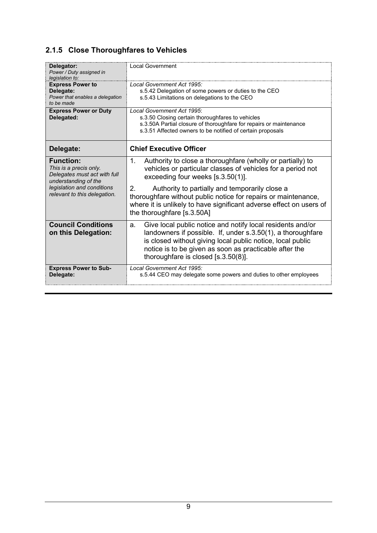## <span id="page-8-0"></span>**2.1.5 Close Thoroughfares to Vehicles**

| Delegator:<br>Power / Duty assigned in<br>legislation to:                                          | Local Government                                                                                                                                                                                                                                                                                  |
|----------------------------------------------------------------------------------------------------|---------------------------------------------------------------------------------------------------------------------------------------------------------------------------------------------------------------------------------------------------------------------------------------------------|
| <b>Express Power to</b><br>Delegate:<br>Power that enables a delegation<br>to be made              | Local Government Act 1995:<br>s.5.42 Delegation of some powers or duties to the CEO<br>s.5.43 Limitations on delegations to the CEO                                                                                                                                                               |
| <b>Express Power or Duty</b><br>Delegated:                                                         | Local Government Act 1995:<br>s.3.50 Closing certain thoroughfares to vehicles<br>s.3.50A Partial closure of thoroughfare for repairs or maintenance<br>s.3.51 Affected owners to be notified of certain proposals                                                                                |
| Delegate:                                                                                          | <b>Chief Executive Officer</b>                                                                                                                                                                                                                                                                    |
| <b>Function:</b><br>This is a precis only.<br>Delegates must act with full<br>understanding of the | Authority to close a thoroughfare (wholly or partially) to<br>1.<br>vehicles or particular classes of vehicles for a period not<br>exceeding four weeks [s.3.50(1)].                                                                                                                              |
| legislation and conditions<br>relevant to this delegation.                                         | 2.<br>Authority to partially and temporarily close a<br>thoroughfare without public notice for repairs or maintenance,<br>where it is unlikely to have significant adverse effect on users of<br>the thoroughfare [s.3.50A]                                                                       |
| <b>Council Conditions</b><br>on this Delegation:                                                   | Give local public notice and notify local residents and/or<br>a.<br>landowners if possible. If, under s.3.50(1), a thoroughfare<br>is closed without giving local public notice, local public<br>notice is to be given as soon as practicable after the<br>thoroughfare is closed $[s.3.50(8)]$ . |
| <b>Express Power to Sub-</b><br>Delegate:                                                          | Local Government Act 1995:<br>s.5.44 CEO may delegate some powers and duties to other employees                                                                                                                                                                                                   |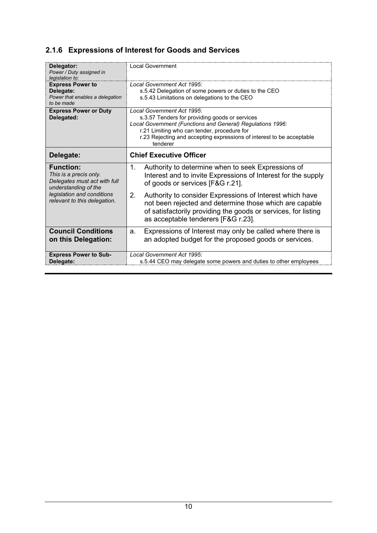### <span id="page-9-0"></span>**2.1.6 Expressions of Interest for Goods and Services**

| Delegator:<br>Power / Duty assigned in<br>legislation to:                                          | <b>Local Government</b>                                                                                                                                                                                                                                                        |  |
|----------------------------------------------------------------------------------------------------|--------------------------------------------------------------------------------------------------------------------------------------------------------------------------------------------------------------------------------------------------------------------------------|--|
| <b>Express Power to</b><br>Delegate:<br>Power that enables a delegation<br>to be made              | Local Government Act 1995:<br>s.5.42 Delegation of some powers or duties to the CEO<br>s.5.43 Limitations on delegations to the CEO                                                                                                                                            |  |
| <b>Express Power or Duty</b><br>Delegated:                                                         | Local Government Act 1995:<br>s.3.57 Tenders for providing goods or services<br>Local Government (Functions and General) Regulations 1996:<br>r.21 Limiting who can tender, procedure for<br>r.23 Rejecting and accepting expressions of interest to be acceptable<br>tenderer |  |
| Delegate:                                                                                          | <b>Chief Executive Officer</b>                                                                                                                                                                                                                                                 |  |
| <b>Function:</b><br>This is a precis only.<br>Delegates must act with full<br>understanding of the | Authority to determine when to seek Expressions of<br>$\mathbf{1}$ .<br>Interest and to invite Expressions of Interest for the supply<br>of goods or services [F&G r.21].                                                                                                      |  |
| legislation and conditions<br>relevant to this delegation.                                         | 2.<br>Authority to consider Expressions of Interest which have<br>not been rejected and determine those which are capable<br>of satisfactorily providing the goods or services, for listing<br>as acceptable tenderers [F&G r.23].                                             |  |
| <b>Council Conditions</b><br>on this Delegation:                                                   | Expressions of Interest may only be called where there is<br>a.<br>an adopted budget for the proposed goods or services.                                                                                                                                                       |  |
| <b>Express Power to Sub-</b><br>Delegate:                                                          | Local Government Act 1995:<br>s.5.44 CEO may delegate some powers and duties to other employees                                                                                                                                                                                |  |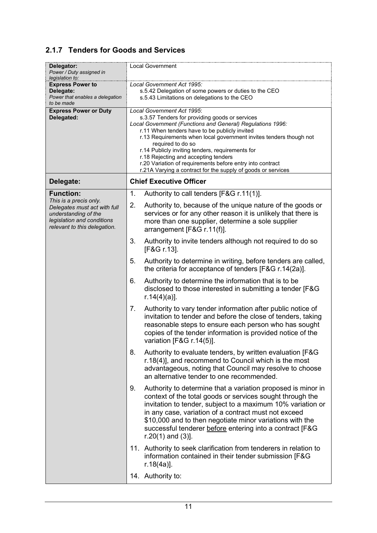#### <span id="page-10-0"></span>**2.1.7 Tenders for Goods and Services**

| Delegator:                                                                                                                                   | <b>Local Government</b>                                                                                                                                                                                                                                                                                                                                                                                                                                                                                         |
|----------------------------------------------------------------------------------------------------------------------------------------------|-----------------------------------------------------------------------------------------------------------------------------------------------------------------------------------------------------------------------------------------------------------------------------------------------------------------------------------------------------------------------------------------------------------------------------------------------------------------------------------------------------------------|
| Power / Duty assigned in<br>legislation to:                                                                                                  |                                                                                                                                                                                                                                                                                                                                                                                                                                                                                                                 |
| <b>Express Power to</b><br>Delegate:<br>Power that enables a delegation<br>to be made                                                        | Local Government Act 1995:<br>s.5.42 Delegation of some powers or duties to the CEO<br>s.5.43 Limitations on delegations to the CEO                                                                                                                                                                                                                                                                                                                                                                             |
| <b>Express Power or Duty</b><br>Delegated:                                                                                                   | Local Government Act 1995:<br>s.3.57 Tenders for providing goods or services<br>Local Government (Functions and General) Regulations 1996:<br>r.11 When tenders have to be publicly invited<br>r.13 Requirements when local government invites tenders though not<br>required to do so<br>r.14 Publicly inviting tenders, requirements for<br>r.18 Rejecting and accepting tenders<br>r.20 Variation of requirements before entry into contract<br>r.21A Varying a contract for the supply of goods or services |
| Delegate:                                                                                                                                    | <b>Chief Executive Officer</b>                                                                                                                                                                                                                                                                                                                                                                                                                                                                                  |
| <b>Function:</b>                                                                                                                             | 1.<br>Authority to call tenders [F&G r.11(1)].                                                                                                                                                                                                                                                                                                                                                                                                                                                                  |
| This is a precis only.<br>Delegates must act with full<br>understanding of the<br>legislation and conditions<br>relevant to this delegation. | Authority to, because of the unique nature of the goods or<br>2.<br>services or for any other reason it is unlikely that there is<br>more than one supplier, determine a sole supplier<br>arrangement [F&G r.11(f)].                                                                                                                                                                                                                                                                                            |
|                                                                                                                                              | 3.<br>Authority to invite tenders although not required to do so<br>[F&G r.13].                                                                                                                                                                                                                                                                                                                                                                                                                                 |
|                                                                                                                                              | Authority to determine in writing, before tenders are called,<br>5.<br>the criteria for acceptance of tenders [F&G r.14(2a)].                                                                                                                                                                                                                                                                                                                                                                                   |
|                                                                                                                                              | Authority to determine the information that is to be<br>6.<br>disclosed to those interested in submitting a tender [F&G]<br>$r.14(4)(a)$ ].                                                                                                                                                                                                                                                                                                                                                                     |
|                                                                                                                                              | Authority to vary tender information after public notice of<br>7.<br>invitation to tender and before the close of tenders, taking<br>reasonable steps to ensure each person who has sought<br>copies of the tender information is provided notice of the<br>variation [F&G r.14(5)].                                                                                                                                                                                                                            |
|                                                                                                                                              | 8.<br>Authority to evaluate tenders, by written evaluation [F&G]<br>r.18(4)], and recommend to Council which is the most<br>advantageous, noting that Council may resolve to choose<br>an alternative tender to one recommended.                                                                                                                                                                                                                                                                                |
|                                                                                                                                              | Authority to determine that a variation proposed is minor in<br>9.<br>context of the total goods or services sought through the<br>invitation to tender, subject to a maximum 10% variation or<br>in any case, variation of a contract must not exceed<br>\$10,000 and to then negotiate minor variations with the<br>successful tenderer before entering into a contract [F&G<br>$r.20(1)$ and $(3)$ ].                                                                                                        |
|                                                                                                                                              | 11. Authority to seek clarification from tenderers in relation to<br>information contained in their tender submission [F&G]<br>$r.18(4a)$ ].                                                                                                                                                                                                                                                                                                                                                                    |
|                                                                                                                                              | 14. Authority to:                                                                                                                                                                                                                                                                                                                                                                                                                                                                                               |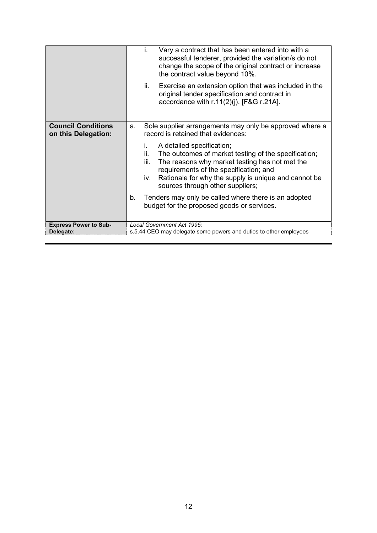|                                                  | Vary a contract that has been entered into with a<br>i.<br>successful tenderer, provided the variation/s do not<br>change the scope of the original contract or increase<br>the contract value beyond 10%.                                                                                            |
|--------------------------------------------------|-------------------------------------------------------------------------------------------------------------------------------------------------------------------------------------------------------------------------------------------------------------------------------------------------------|
|                                                  | ii.<br>Exercise an extension option that was included in the<br>original tender specification and contract in<br>accordance with $r.11(2)(j)$ . [F&G $r.21A$ ].                                                                                                                                       |
| <b>Council Conditions</b><br>on this Delegation: | Sole supplier arrangements may only be approved where a<br>a.<br>record is retained that evidences:                                                                                                                                                                                                   |
|                                                  | A detailed specification;<br>İ.<br>ii.<br>The outcomes of market testing of the specification;<br>The reasons why market testing has not met the<br>iii.<br>requirements of the specification; and<br>Rationale for why the supply is unique and cannot be<br>iv.<br>sources through other suppliers; |
|                                                  | Tenders may only be called where there is an adopted<br>b.<br>budget for the proposed goods or services.                                                                                                                                                                                              |
| <b>Express Power to Sub-</b><br>Delegate:        | Local Government Act 1995:<br>s.5.44 CEO may delegate some powers and duties to other employees                                                                                                                                                                                                       |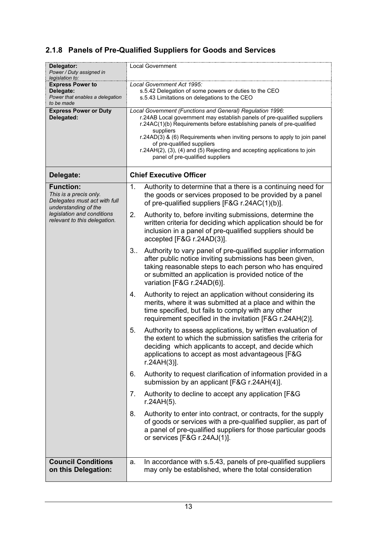## <span id="page-12-0"></span>**2.1.8 Panels of Pre-Qualified Suppliers for Goods and Services**

| Delegator:<br>Power / Duty assigned in<br>legislation to:                             | <b>Local Government</b>                                                                                                                                                                                                                                                                                                                                                                                                                               |
|---------------------------------------------------------------------------------------|-------------------------------------------------------------------------------------------------------------------------------------------------------------------------------------------------------------------------------------------------------------------------------------------------------------------------------------------------------------------------------------------------------------------------------------------------------|
| <b>Express Power to</b><br>Delegate:<br>Power that enables a delegation<br>to be made | Local Government Act 1995:<br>s.5.42 Delegation of some powers or duties to the CEO<br>s.5.43 Limitations on delegations to the CEO                                                                                                                                                                                                                                                                                                                   |
| <b>Express Power or Duty</b><br>Delegated:                                            | Local Government (Functions and General) Regulation 1996:<br>r.24AB Local government may establish panels of pre-qualified suppliers<br>r.24AC(1)(b) Requirements before establishing panels of pre-qualified<br>suppliers<br>r.24AD(3) & (6) Requirements when inviting persons to apply to join panel<br>of pre-qualified suppliers<br>r.24AH(2), (3), (4) and (5) Rejecting and accepting applications to join<br>panel of pre-qualified suppliers |
| Delegate:                                                                             | <b>Chief Executive Officer</b>                                                                                                                                                                                                                                                                                                                                                                                                                        |
| <b>Function:</b><br>This is a precis only.<br>Delegates must act with full            | Authority to determine that a there is a continuing need for<br>$\mathbf{1}$ .<br>the goods or services proposed to be provided by a panel<br>of pre-qualified suppliers [F&G r.24AC(1)(b)].                                                                                                                                                                                                                                                          |
| understanding of the<br>legislation and conditions<br>relevant to this delegation.    | 2.<br>Authority to, before inviting submissions, determine the<br>written criteria for deciding which application should be for<br>inclusion in a panel of pre-qualified suppliers should be<br>accepted [F&G r.24AD(3)].                                                                                                                                                                                                                             |
|                                                                                       | Authority to vary panel of pre-qualified supplier information<br>$3_{\cdots}$<br>after public notice inviting submissions has been given,<br>taking reasonable steps to each person who has enquired<br>or submitted an application is provided notice of the<br>variation [F&G r.24AD(6)].                                                                                                                                                           |
|                                                                                       | Authority to reject an application without considering its<br>4.<br>merits, where it was submitted at a place and within the<br>time specified, but fails to comply with any other<br>requirement specified in the invitation [F&G r.24AH(2)].                                                                                                                                                                                                        |
|                                                                                       | Authority to assess applications, by written evaluation of<br>5.<br>the extent to which the submission satisfies the criteria for<br>deciding which applicants to accept, and decide which<br>applications to accept as most advantageous [F&G<br>$r.24AH(3)$ ].                                                                                                                                                                                      |
|                                                                                       | Authority to request clarification of information provided in a<br>6.<br>submission by an applicant [F&G r.24AH(4)].                                                                                                                                                                                                                                                                                                                                  |
|                                                                                       | Authority to decline to accept any application [F&G]<br>7.<br>$r.24AH(5)$ .                                                                                                                                                                                                                                                                                                                                                                           |
|                                                                                       | Authority to enter into contract, or contracts, for the supply<br>8.<br>of goods or services with a pre-qualified supplier, as part of<br>a panel of pre-qualified suppliers for those particular goods<br>or services [F&G r.24AJ(1)].                                                                                                                                                                                                               |
| <b>Council Conditions</b><br>on this Delegation:                                      | In accordance with s.5.43, panels of pre-qualified suppliers<br>a.<br>may only be established, where the total consideration                                                                                                                                                                                                                                                                                                                          |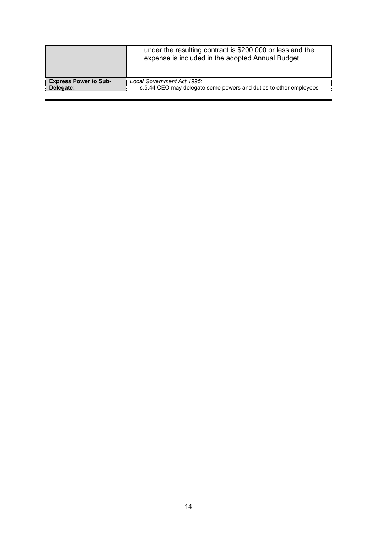|                              | under the resulting contract is \$200,000 or less and the<br>expense is included in the adopted Annual Budget. |
|------------------------------|----------------------------------------------------------------------------------------------------------------|
| <b>Express Power to Sub-</b> | Local Government Act 1995:                                                                                     |
| Delegate:                    | s.5.44 CEO may delegate some powers and duties to other employees                                              |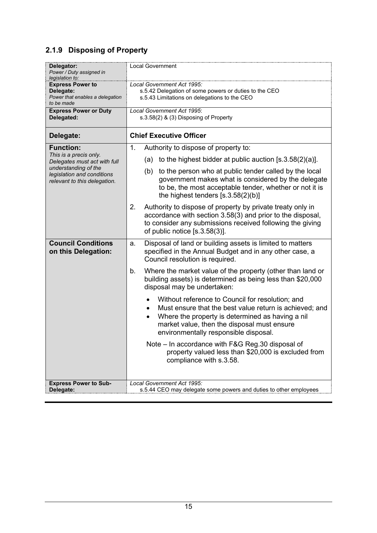### <span id="page-14-0"></span>**2.1.9 Disposing of Property**

| Delegator:<br>Power / Duty assigned in<br>legislation to:                             | <b>Local Government</b>                                                                                                                                                                                                                                              |
|---------------------------------------------------------------------------------------|----------------------------------------------------------------------------------------------------------------------------------------------------------------------------------------------------------------------------------------------------------------------|
| <b>Express Power to</b><br>Delegate:<br>Power that enables a delegation<br>to be made | Local Government Act 1995:<br>s.5.42 Delegation of some powers or duties to the CEO<br>s.5.43 Limitations on delegations to the CEO                                                                                                                                  |
| <b>Express Power or Duty</b><br>Delegated:                                            | Local Government Act 1995:<br>s.3.58(2) & (3) Disposing of Property                                                                                                                                                                                                  |
| Delegate:                                                                             | <b>Chief Executive Officer</b>                                                                                                                                                                                                                                       |
| <b>Function:</b>                                                                      | 1.<br>Authority to dispose of property to:                                                                                                                                                                                                                           |
| This is a precis only.<br>Delegates must act with full                                | to the highest bidder at public auction $[s.3.58(2)(a)].$<br>(a)                                                                                                                                                                                                     |
| understanding of the<br>legislation and conditions<br>relevant to this delegation.    | to the person who at public tender called by the local<br>(b)<br>government makes what is considered by the delegate<br>to be, the most acceptable tender, whether or not it is<br>the highest tenders $[s.3.58(2)(b)]$                                              |
|                                                                                       | Authority to dispose of property by private treaty only in<br>2.<br>accordance with section 3.58(3) and prior to the disposal,<br>to consider any submissions received following the giving<br>of public notice $[s.3.58(3)]$ .                                      |
| <b>Council Conditions</b><br>on this Delegation:                                      | Disposal of land or building assets is limited to matters<br>a.<br>specified in the Annual Budget and in any other case, a<br>Council resolution is required.                                                                                                        |
|                                                                                       | Where the market value of the property (other than land or<br>b.<br>building assets) is determined as being less than \$20,000<br>disposal may be undertaken:                                                                                                        |
|                                                                                       | Without reference to Council for resolution; and<br>Must ensure that the best value return is achieved; and<br>Where the property is determined as having a nil<br>$\bullet$<br>market value, then the disposal must ensure<br>environmentally responsible disposal. |
|                                                                                       | Note - In accordance with F&G Reg.30 disposal of<br>property valued less than \$20,000 is excluded from<br>compliance with s.3.58.                                                                                                                                   |
| <b>Express Power to Sub-</b><br>Delegate:                                             | Local Government Act 1995:<br>s.5.44 CEO may delegate some powers and duties to other employees                                                                                                                                                                      |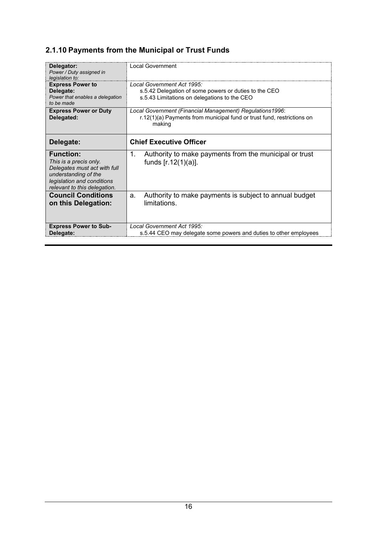## <span id="page-15-0"></span>**2.1.10 Payments from the Municipal or Trust Funds**

| Delegator:<br>Power / Duty assigned in<br>legislation to:                                                                                                        | Local Government                                                                                                                             |
|------------------------------------------------------------------------------------------------------------------------------------------------------------------|----------------------------------------------------------------------------------------------------------------------------------------------|
| <b>Express Power to</b><br>Delegate:<br>Power that enables a delegation<br>to be made                                                                            | Local Government Act 1995:<br>s.5.42 Delegation of some powers or duties to the CEO<br>s.5.43 Limitations on delegations to the CEO          |
| <b>Express Power or Duty</b><br>Delegated:                                                                                                                       | Local Government (Financial Management) Regulations1996:<br>r.12(1)(a) Payments from municipal fund or trust fund, restrictions on<br>making |
| Delegate:                                                                                                                                                        | <b>Chief Executive Officer</b>                                                                                                               |
| <b>Function:</b><br>This is a precis only.<br>Delegates must act with full<br>understanding of the<br>legislation and conditions<br>relevant to this delegation. | Authority to make payments from the municipal or trust<br>1.<br>funds $[r.12(1)(a)].$                                                        |
| <b>Council Conditions</b><br>on this Delegation:                                                                                                                 | Authority to make payments is subject to annual budget<br>a.<br>limitations.                                                                 |
| <b>Express Power to Sub-</b><br>Delegate:                                                                                                                        | Local Government Act 1995:<br>s.5.44 CEO may delegate some powers and duties to other employees                                              |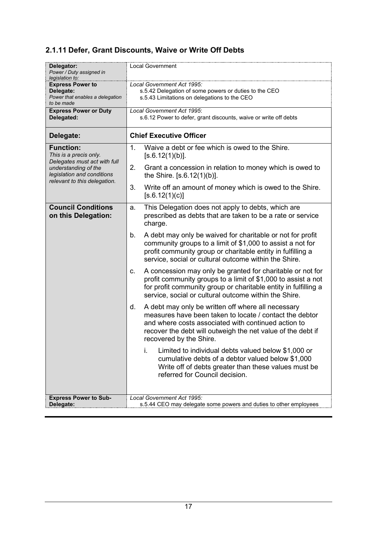### <span id="page-16-0"></span>**2.1.11 Defer, Grant Discounts, Waive or Write Off Debts**

| Delegator:<br>Power / Duty assigned in<br>legislation to:                          | <b>Local Government</b>                                                                                                                                                                                                                                              |
|------------------------------------------------------------------------------------|----------------------------------------------------------------------------------------------------------------------------------------------------------------------------------------------------------------------------------------------------------------------|
| <b>Express Power to</b>                                                            | Local Government Act 1995:                                                                                                                                                                                                                                           |
| Delegate:                                                                          | s.5.42 Delegation of some powers or duties to the CEO                                                                                                                                                                                                                |
| Power that enables a delegation                                                    | s.5.43 Limitations on delegations to the CEO                                                                                                                                                                                                                         |
| to be made                                                                         |                                                                                                                                                                                                                                                                      |
| <b>Express Power or Duty</b>                                                       | Local Government Act 1995:                                                                                                                                                                                                                                           |
| Delegated:                                                                         | s.6.12 Power to defer, grant discounts, waive or write off debts                                                                                                                                                                                                     |
| Delegate:                                                                          | <b>Chief Executive Officer</b>                                                                                                                                                                                                                                       |
| <b>Function:</b><br>This is a precis only.                                         | 1.<br>Waive a debt or fee which is owed to the Shire.<br>[s.6.12(1)(b)].                                                                                                                                                                                             |
| Delegates must act with full<br>understanding of the<br>legislation and conditions | 2.<br>Grant a concession in relation to money which is owed to<br>the Shire. [s.6.12(1)(b)].                                                                                                                                                                         |
| relevant to this delegation.                                                       | 3.<br>Write off an amount of money which is owed to the Shire.<br>[s.6.12(1)(c)]                                                                                                                                                                                     |
| <b>Council Conditions</b><br>on this Delegation:                                   | This Delegation does not apply to debts, which are<br>a.<br>prescribed as debts that are taken to be a rate or service<br>charge.                                                                                                                                    |
|                                                                                    | A debt may only be waived for charitable or not for profit<br>b.<br>community groups to a limit of \$1,000 to assist a not for<br>profit community group or charitable entity in fulfilling a<br>service, social or cultural outcome within the Shire.               |
|                                                                                    | A concession may only be granted for charitable or not for<br>c.<br>profit community groups to a limit of \$1,000 to assist a not<br>for profit community group or charitable entity in fulfilling a<br>service, social or cultural outcome within the Shire.        |
|                                                                                    | A debt may only be written off where all necessary<br>d.<br>measures have been taken to locate / contact the debtor<br>and where costs associated with continued action to<br>recover the debt will outweigh the net value of the debt if<br>recovered by the Shire. |
|                                                                                    | i.<br>Limited to individual debts valued below \$1,000 or<br>cumulative debts of a debtor valued below \$1,000<br>Write off of debts greater than these values must be<br>referred for Council decision.                                                             |
| <b>Express Power to Sub-</b>                                                       | Local Government Act 1995:                                                                                                                                                                                                                                           |
| Delegate:                                                                          | s.5.44 CEO may delegate some powers and duties to other employees                                                                                                                                                                                                    |
|                                                                                    |                                                                                                                                                                                                                                                                      |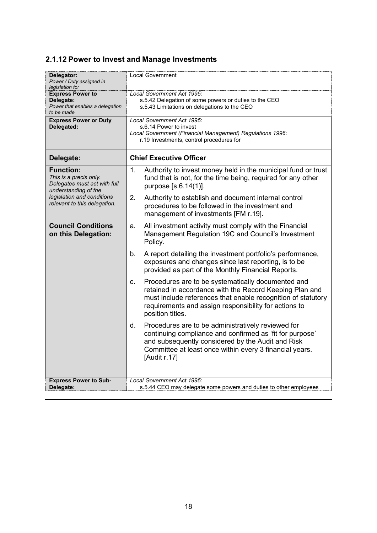### <span id="page-17-0"></span>**2.1.12 Power to Invest and Manage Investments**

| Delegator:<br>Power / Duty assigned in<br>legislation to:                                          | <b>Local Government</b>                                                                                                                                                                                                                                          |
|----------------------------------------------------------------------------------------------------|------------------------------------------------------------------------------------------------------------------------------------------------------------------------------------------------------------------------------------------------------------------|
| <b>Express Power to</b><br>Delegate:<br>Power that enables a delegation<br>to be made              | Local Government Act 1995:<br>s.5.42 Delegation of some powers or duties to the CEO<br>s.5.43 Limitations on delegations to the CEO                                                                                                                              |
| <b>Express Power or Duty</b><br>Delegated:                                                         | Local Government Act 1995:<br>s.6.14 Power to invest<br>Local Government (Financial Management) Regulations 1996:<br>r.19 Investments, control procedures for                                                                                                    |
| Delegate:                                                                                          | <b>Chief Executive Officer</b>                                                                                                                                                                                                                                   |
| <b>Function:</b><br>This is a precis only.<br>Delegates must act with full<br>understanding of the | Authority to invest money held in the municipal fund or trust<br>1.<br>fund that is not, for the time being, required for any other<br>purpose [s.6.14(1)].                                                                                                      |
| legislation and conditions<br>relevant to this delegation.                                         | 2.<br>Authority to establish and document internal control<br>procedures to be followed in the investment and<br>management of investments [FM r.19].                                                                                                            |
| <b>Council Conditions</b><br>on this Delegation:                                                   | All investment activity must comply with the Financial<br>a.<br>Management Regulation 19C and Council's Investment<br>Policy.                                                                                                                                    |
|                                                                                                    | b.<br>A report detailing the investment portfolio's performance,<br>exposures and changes since last reporting, is to be<br>provided as part of the Monthly Financial Reports.                                                                                   |
|                                                                                                    | Procedures are to be systematically documented and<br>C.<br>retained in accordance with the Record Keeping Plan and<br>must include references that enable recognition of statutory<br>requirements and assign responsibility for actions to<br>position titles. |
|                                                                                                    | Procedures are to be administratively reviewed for<br>d.<br>continuing compliance and confirmed as 'fit for purpose'<br>and subsequently considered by the Audit and Risk<br>Committee at least once within every 3 financial years.<br>[Audit r.17]             |
| <b>Express Power to Sub-</b><br>Delegate:                                                          | Local Government Act 1995:<br>s.5.44 CEO may delegate some powers and duties to other employees                                                                                                                                                                  |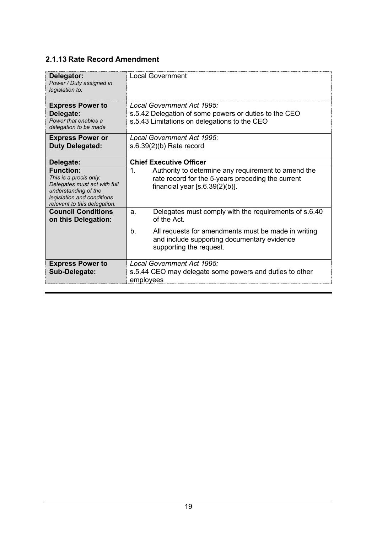#### <span id="page-18-0"></span>**2.1.13 Rate Record Amendment**

| Delegator:<br>Power / Duty assigned in<br>legislation to:                                                                                                        | Local Government                                                                                                                                              |
|------------------------------------------------------------------------------------------------------------------------------------------------------------------|---------------------------------------------------------------------------------------------------------------------------------------------------------------|
| <b>Express Power to</b><br>Delegate:<br>Power that enables a<br>delegation to be made                                                                            | Local Government Act 1995:<br>s.5.42 Delegation of some powers or duties to the CEO<br>s.5.43 Limitations on delegations to the CEO                           |
| <b>Express Power or</b><br><b>Duty Delegated:</b>                                                                                                                | Local Government Act 1995:<br>$s.6.39(2)(b)$ Rate record                                                                                                      |
| Delegate:                                                                                                                                                        | <b>Chief Executive Officer</b>                                                                                                                                |
| <b>Function:</b><br>This is a precis only.<br>Delegates must act with full<br>understanding of the<br>legislation and conditions<br>relevant to this delegation. | $\mathbf 1$ .<br>Authority to determine any requirement to amend the<br>rate record for the 5-years preceding the current<br>financial year $[s.6.39(2)(b)].$ |
| <b>Council Conditions</b><br>on this Delegation:                                                                                                                 | Delegates must comply with the requirements of s.6.40<br>a.<br>of the Act.                                                                                    |
|                                                                                                                                                                  | All requests for amendments must be made in writing<br>b <sub>1</sub><br>and include supporting documentary evidence<br>supporting the request.               |
| <b>Express Power to</b><br>Sub-Delegate:                                                                                                                         | Local Government Act 1995:<br>s.5.44 CEO may delegate some powers and duties to other<br>employees                                                            |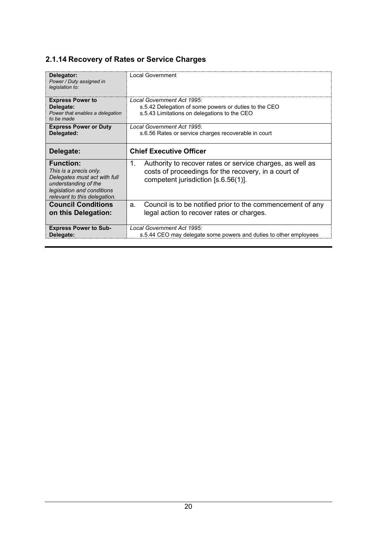### <span id="page-19-0"></span>**2.1.14 Recovery of Rates or Service Charges**

| Delegator:<br>Power / Duty assigned in<br>legislation to:                                                                                                        | Local Government                                                                                                                                               |
|------------------------------------------------------------------------------------------------------------------------------------------------------------------|----------------------------------------------------------------------------------------------------------------------------------------------------------------|
| <b>Express Power to</b><br>Delegate:<br>Power that enables a delegation<br>to be made                                                                            | Local Government Act 1995:<br>s.5.42 Delegation of some powers or duties to the CEO<br>s.5.43 Limitations on delegations to the CEO                            |
| <b>Express Power or Duty</b><br>Delegated:                                                                                                                       | Local Government Act 1995:<br>s.6.56 Rates or service charges recoverable in court                                                                             |
| Delegate:                                                                                                                                                        | <b>Chief Executive Officer</b>                                                                                                                                 |
| <b>Function:</b><br>This is a precis only.<br>Delegates must act with full<br>understanding of the<br>legislation and conditions<br>relevant to this delegation. | Authority to recover rates or service charges, as well as<br>1.<br>costs of proceedings for the recovery, in a court of<br>competent jurisdiction [s.6.56(1)]. |
| <b>Council Conditions</b><br>on this Delegation:                                                                                                                 | Council is to be notified prior to the commencement of any<br>a.<br>legal action to recover rates or charges.                                                  |
| <b>Express Power to Sub-</b><br>Delegate:                                                                                                                        | Local Government Act 1995:<br>s.5.44 CEO may delegate some powers and duties to other employees                                                                |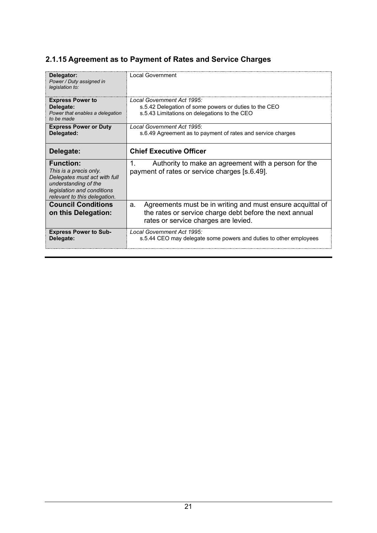### <span id="page-20-0"></span>**2.1.15 Agreement as to Payment of Rates and Service Charges**

| Delegator:<br>Power / Duty assigned in<br>legislation to:                                                                                                        | Local Government                                                                                                                                                    |
|------------------------------------------------------------------------------------------------------------------------------------------------------------------|---------------------------------------------------------------------------------------------------------------------------------------------------------------------|
| <b>Express Power to</b><br>Delegate:<br>Power that enables a delegation                                                                                          | Local Government Act 1995:<br>s.5.42 Delegation of some powers or duties to the CEO<br>s.5.43 Limitations on delegations to the CEO                                 |
| to be made                                                                                                                                                       |                                                                                                                                                                     |
| <b>Express Power or Duty</b><br>Delegated:                                                                                                                       | Local Government Act 1995:<br>s.6.49 Agreement as to payment of rates and service charges                                                                           |
| Delegate:                                                                                                                                                        | <b>Chief Executive Officer</b>                                                                                                                                      |
| <b>Function:</b><br>This is a precis only.<br>Delegates must act with full<br>understanding of the<br>legislation and conditions<br>relevant to this delegation. | Authority to make an agreement with a person for the<br>1.<br>payment of rates or service charges [s.6.49].                                                         |
| <b>Council Conditions</b><br>on this Delegation:                                                                                                                 | Agreements must be in writing and must ensure acquittal of<br>a.<br>the rates or service charge debt before the next annual<br>rates or service charges are levied. |
| <b>Express Power to Sub-</b><br>Delegate:                                                                                                                        | Local Government Act 1995:<br>s.5.44 CEO may delegate some powers and duties to other employees                                                                     |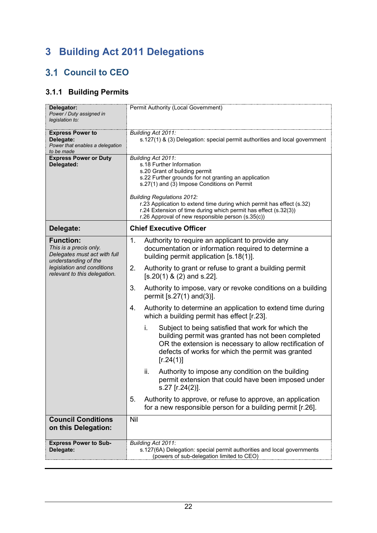# <span id="page-21-0"></span>**3 Building Act 2011 Delegations**

## <span id="page-21-1"></span>**3.1 Council to CEO**

## <span id="page-21-2"></span>**3.1.1 Building Permits**

| Delegator:<br>Power / Duty assigned in<br>legislation to:                                          | Permit Authority (Local Government)                                                                                                                                                                                                                                                                                                                                                                                          |
|----------------------------------------------------------------------------------------------------|------------------------------------------------------------------------------------------------------------------------------------------------------------------------------------------------------------------------------------------------------------------------------------------------------------------------------------------------------------------------------------------------------------------------------|
| <b>Express Power to</b><br>Delegate:<br>Power that enables a delegation<br>to be made              | Building Act 2011:<br>s.127(1) & (3) Delegation: special permit authorities and local government                                                                                                                                                                                                                                                                                                                             |
| <b>Express Power or Duty</b><br>Delegated:                                                         | Building Act 2011:<br>s.18 Further Information<br>s.20 Grant of building permit<br>s.22 Further grounds for not granting an application<br>s.27(1) and (3) Impose Conditions on Permit<br><b>Building Regulations 2012:</b><br>r.23 Application to extend time during which permit has effect (s.32)<br>r.24 Extension of time during which permit has effect (s.32(3))<br>r.26 Approval of new responsible person (s.35(c)) |
| Delegate:                                                                                          | <b>Chief Executive Officer</b>                                                                                                                                                                                                                                                                                                                                                                                               |
| <b>Function:</b><br>This is a precis only.<br>Delegates must act with full<br>understanding of the | Authority to require an applicant to provide any<br>1.<br>documentation or information required to determine a<br>building permit application [s.18(1)].                                                                                                                                                                                                                                                                     |
| legislation and conditions<br>relevant to this delegation.                                         | 2.<br>Authority to grant or refuse to grant a building permit<br>$[s.20(1) 8(2)$ and s.22].                                                                                                                                                                                                                                                                                                                                  |
|                                                                                                    | 3.<br>Authority to impose, vary or revoke conditions on a building<br>permit $[s.27(1)$ and $(3)]$ .                                                                                                                                                                                                                                                                                                                         |
|                                                                                                    | Authority to determine an application to extend time during<br>4.<br>which a building permit has effect [r.23].                                                                                                                                                                                                                                                                                                              |
|                                                                                                    | i.<br>Subject to being satisfied that work for which the<br>building permit was granted has not been completed<br>OR the extension is necessary to allow rectification of<br>defects of works for which the permit was granted<br>[r.24(1)]                                                                                                                                                                                  |
|                                                                                                    | ii.<br>Authority to impose any condition on the building<br>permit extension that could have been imposed under<br>s.27 [r.24(2)].                                                                                                                                                                                                                                                                                           |
|                                                                                                    | 5.<br>Authority to approve, or refuse to approve, an application<br>for a new responsible person for a building permit [r.26].                                                                                                                                                                                                                                                                                               |
| <b>Council Conditions</b><br>on this Delegation:                                                   | Nil                                                                                                                                                                                                                                                                                                                                                                                                                          |
| <b>Express Power to Sub-</b><br>Delegate:                                                          | Building Act 2011:<br>s.127(6A) Delegation: special permit authorities and local governments<br>(powers of sub-delegation limited to CEO)                                                                                                                                                                                                                                                                                    |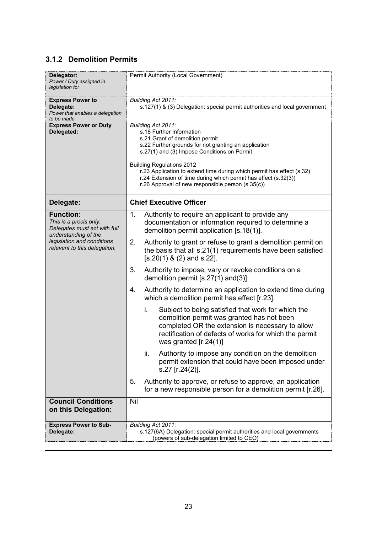#### <span id="page-22-0"></span>**3.1.2 Demolition Permits**

| Delegator:<br>Power / Duty assigned in<br>legislation to:                                          | Permit Authority (Local Government)                                                                                                                                                                                                                                                                                                                                                                                           |
|----------------------------------------------------------------------------------------------------|-------------------------------------------------------------------------------------------------------------------------------------------------------------------------------------------------------------------------------------------------------------------------------------------------------------------------------------------------------------------------------------------------------------------------------|
| <b>Express Power to</b><br>Delegate:<br>Power that enables a delegation<br>to be made              | Building Act 2011:<br>s.127(1) & (3) Delegation: special permit authorities and local government                                                                                                                                                                                                                                                                                                                              |
| <b>Express Power or Duty</b><br>Delegated:                                                         | Building Act 2011:<br>s.18 Further Information<br>s.21 Grant of demolition permit<br>s.22 Further grounds for not granting an application<br>s.27(1) and (3) Impose Conditions on Permit<br><b>Building Regulations 2012</b><br>r.23 Application to extend time during which permit has effect (s.32)<br>r.24 Extension of time during which permit has effect (s.32(3))<br>r.26 Approval of new responsible person (s.35(c)) |
| Delegate:                                                                                          | <b>Chief Executive Officer</b>                                                                                                                                                                                                                                                                                                                                                                                                |
| <b>Function:</b><br>This is a precis only.<br>Delegates must act with full<br>understanding of the | Authority to require an applicant to provide any<br>1 <sub>1</sub><br>documentation or information required to determine a<br>demolition permit application [s.18(1)].                                                                                                                                                                                                                                                        |
| legislation and conditions<br>relevant to this delegation.                                         | Authority to grant or refuse to grant a demolition permit on<br>2.<br>the basis that all s.21(1) requirements have been satisfied<br>$[s.20(1) 8 (2)$ and s.22].                                                                                                                                                                                                                                                              |
|                                                                                                    | 3.<br>Authority to impose, vary or revoke conditions on a<br>demolition permit $[s.27(1)$ and $(3)]$ .                                                                                                                                                                                                                                                                                                                        |
|                                                                                                    | Authority to determine an application to extend time during<br>4.<br>which a demolition permit has effect [r.23].                                                                                                                                                                                                                                                                                                             |
|                                                                                                    | Subject to being satisfied that work for which the<br>i.<br>demolition permit was granted has not been<br>completed OR the extension is necessary to allow<br>rectification of defects of works for which the permit<br>was granted $[r.24(1)]$                                                                                                                                                                               |
|                                                                                                    | Authority to impose any condition on the demolition<br>ii.<br>permit extension that could have been imposed under<br>s.27 [r.24(2)].                                                                                                                                                                                                                                                                                          |
|                                                                                                    | Authority to approve, or refuse to approve, an application<br>5.<br>for a new responsible person for a demolition permit [r.26].                                                                                                                                                                                                                                                                                              |
| <b>Council Conditions</b><br>on this Delegation:                                                   | Nil                                                                                                                                                                                                                                                                                                                                                                                                                           |
| <b>Express Power to Sub-</b><br>Delegate:                                                          | Building Act 2011:<br>s.127(6A) Delegation: special permit authorities and local governments<br>(powers of sub-delegation limited to CEO)                                                                                                                                                                                                                                                                                     |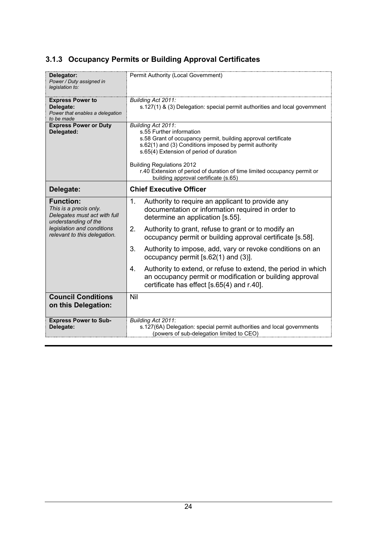### <span id="page-23-0"></span>**3.1.3 Occupancy Permits or Building Approval Certificates**

| Delegator:<br>Power / Duty assigned in<br>legislation to:                                          | Permit Authority (Local Government)                                                                                                                                                                                                                                                                                                                                          |
|----------------------------------------------------------------------------------------------------|------------------------------------------------------------------------------------------------------------------------------------------------------------------------------------------------------------------------------------------------------------------------------------------------------------------------------------------------------------------------------|
| <b>Express Power to</b><br>Delegate:<br>Power that enables a delegation<br>to be made              | Building Act 2011:<br>s.127(1) & (3) Delegation: special permit authorities and local government                                                                                                                                                                                                                                                                             |
| <b>Express Power or Duty</b><br>Delegated:                                                         | Building Act 2011:<br>s.55 Further information<br>s.58 Grant of occupancy permit, building approval certificate<br>s.62(1) and (3) Conditions imposed by permit authority<br>s.65(4) Extension of period of duration<br><b>Building Regulations 2012</b><br>r.40 Extension of period of duration of time limited occupancy permit or<br>building approval certificate (s.65) |
| Delegate:                                                                                          | <b>Chief Executive Officer</b>                                                                                                                                                                                                                                                                                                                                               |
| <b>Function:</b><br>This is a precis only.<br>Delegates must act with full<br>understanding of the | 1.<br>Authority to require an applicant to provide any<br>documentation or information required in order to<br>determine an application [s.55].                                                                                                                                                                                                                              |
| legislation and conditions<br>relevant to this delegation.                                         | Authority to grant, refuse to grant or to modify an<br>2.<br>occupancy permit or building approval certificate [s.58].                                                                                                                                                                                                                                                       |
|                                                                                                    | 3.<br>Authority to impose, add, vary or revoke conditions on an<br>occupancy permit [s.62(1) and (3)].                                                                                                                                                                                                                                                                       |
|                                                                                                    | Authority to extend, or refuse to extend, the period in which<br>$4_{-}$<br>an occupancy permit or modification or building approval<br>certificate has effect [s.65(4) and r.40].                                                                                                                                                                                           |
| <b>Council Conditions</b><br>on this Delegation:                                                   | Nil                                                                                                                                                                                                                                                                                                                                                                          |
| <b>Express Power to Sub-</b><br>Delegate:                                                          | Building Act 2011:<br>s.127(6A) Delegation: special permit authorities and local governments<br>(powers of sub-delegation limited to CEO)                                                                                                                                                                                                                                    |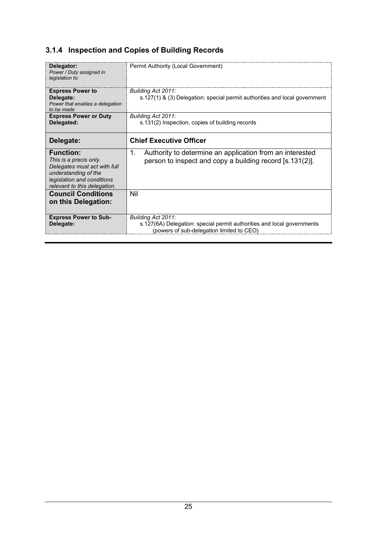## <span id="page-24-0"></span>**3.1.4 Inspection and Copies of Building Records**

| Delegator:<br>Power / Duty assigned in<br>legislation to:                                                                                                        | Permit Authority (Local Government)                                                                                                       |
|------------------------------------------------------------------------------------------------------------------------------------------------------------------|-------------------------------------------------------------------------------------------------------------------------------------------|
| <b>Express Power to</b><br>Delegate:<br>Power that enables a delegation<br>to be made                                                                            | Building Act 2011:<br>s.127(1) & (3) Delegation: special permit authorities and local government                                          |
| <b>Express Power or Duty</b><br>Delegated:                                                                                                                       | Building Act 2011:<br>s.131(2) Inspection, copies of building records                                                                     |
| Delegate:                                                                                                                                                        | <b>Chief Executive Officer</b>                                                                                                            |
| <b>Function:</b><br>This is a precis only.<br>Delegates must act with full<br>understanding of the<br>legislation and conditions<br>relevant to this delegation. | 1.<br>Authority to determine an application from an interested<br>person to inspect and copy a building record [s.131(2)].                |
| <b>Council Conditions</b><br>on this Delegation:                                                                                                                 | Nil                                                                                                                                       |
| <b>Express Power to Sub-</b><br>Delegate:                                                                                                                        | Building Act 2011:<br>s.127(6A) Delegation: special permit authorities and local governments<br>(powers of sub-delegation limited to CEO) |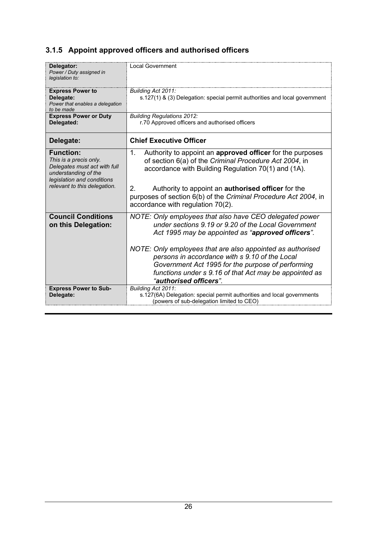## <span id="page-25-0"></span>**3.1.5 Appoint approved officers and authorised officers**

| Delegator:<br>Power / Duty assigned in<br>legislation to:                                                                                                        | <b>Local Government</b>                                                                                                                                                                                                                                                                                                                                                                                                      |
|------------------------------------------------------------------------------------------------------------------------------------------------------------------|------------------------------------------------------------------------------------------------------------------------------------------------------------------------------------------------------------------------------------------------------------------------------------------------------------------------------------------------------------------------------------------------------------------------------|
| <b>Express Power to</b><br>Delegate:<br>Power that enables a delegation<br>to be made                                                                            | Building Act 2011:<br>s.127(1) & (3) Delegation: special permit authorities and local government                                                                                                                                                                                                                                                                                                                             |
| <b>Express Power or Duty</b><br>Delegated:                                                                                                                       | <b>Building Regulations 2012:</b><br>r.70 Approved officers and authorised officers                                                                                                                                                                                                                                                                                                                                          |
| Delegate:                                                                                                                                                        | <b>Chief Executive Officer</b>                                                                                                                                                                                                                                                                                                                                                                                               |
| <b>Function:</b><br>This is a precis only.<br>Delegates must act with full<br>understanding of the<br>legislation and conditions<br>relevant to this delegation. | Authority to appoint an approved officer for the purposes<br>$1_{-}$<br>of section 6(a) of the Criminal Procedure Act 2004, in<br>accordance with Building Regulation 70(1) and (1A).<br>2 <sub>1</sub><br>Authority to appoint an <b>authorised officer</b> for the<br>purposes of section 6(b) of the Criminal Procedure Act 2004, in<br>accordance with regulation 70(2).                                                 |
| <b>Council Conditions</b><br>on this Delegation:                                                                                                                 | NOTE: Only employees that also have CEO delegated power<br>under sections 9.19 or 9.20 of the Local Government<br>Act 1995 may be appointed as "approved officers".<br>NOTE: Only employees that are also appointed as authorised<br>persons in accordance with s 9.10 of the Local<br>Government Act 1995 for the purpose of performing<br>functions under s 9.16 of that Act may be appointed as<br>"authorised officers". |
| <b>Express Power to Sub-</b><br>Delegate:                                                                                                                        | Building Act 2011:<br>s.127(6A) Delegation: special permit authorities and local governments<br>(powers of sub-delegation limited to CEO)                                                                                                                                                                                                                                                                                    |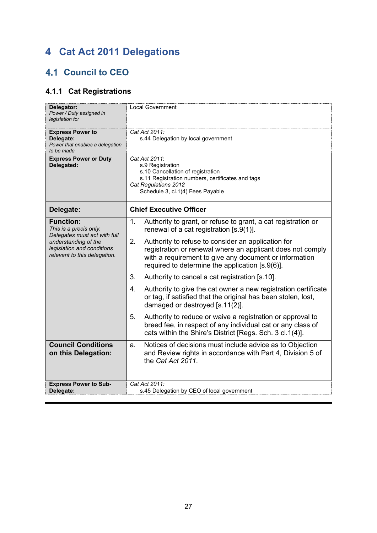# <span id="page-26-0"></span>**4 Cat Act 2011 Delegations**

## <span id="page-26-1"></span>**4.1 Council to CEO**

## <span id="page-26-2"></span>**4.1.1 Cat Registrations**

| Delegator:<br>Power / Duty assigned in<br>legislation to:                                                                                                        | <b>Local Government</b>                                                                                                                                                                                                             |
|------------------------------------------------------------------------------------------------------------------------------------------------------------------|-------------------------------------------------------------------------------------------------------------------------------------------------------------------------------------------------------------------------------------|
| <b>Express Power to</b><br>Delegate:<br>Power that enables a delegation<br>to be made                                                                            | Cat Act 2011:<br>s.44 Delegation by local government                                                                                                                                                                                |
| <b>Express Power or Duty</b><br>Delegated:                                                                                                                       | Cat Act 2011:<br>s.9 Registration<br>s.10 Cancellation of registration<br>s.11 Registration numbers, certificates and tags<br>Cat Regulations 2012<br>Schedule 3, cl.1(4) Fees Payable                                              |
| Delegate:                                                                                                                                                        | <b>Chief Executive Officer</b>                                                                                                                                                                                                      |
| <b>Function:</b><br>This is a precis only.<br>Delegates must act with full<br>understanding of the<br>legislation and conditions<br>relevant to this delegation. | 1.<br>Authority to grant, or refuse to grant, a cat registration or<br>renewal of a cat registration $[s.9(1)].$                                                                                                                    |
|                                                                                                                                                                  | 2.<br>Authority to refuse to consider an application for<br>registration or renewal where an applicant does not comply<br>with a requirement to give any document or information<br>required to determine the application [s.9(6)]. |
|                                                                                                                                                                  | 3.<br>Authority to cancel a cat registration [s.10].                                                                                                                                                                                |
|                                                                                                                                                                  | 4.<br>Authority to give the cat owner a new registration certificate<br>or tag, if satisfied that the original has been stolen, lost,<br>damaged or destroyed [s.11(2)].                                                            |
|                                                                                                                                                                  | 5.<br>Authority to reduce or waive a registration or approval to<br>breed fee, in respect of any individual cat or any class of<br>cats within the Shire's District [Regs. Sch. 3 cl.1(4)].                                         |
| <b>Council Conditions</b><br>on this Delegation:                                                                                                                 | Notices of decisions must include advice as to Objection<br>a.<br>and Review rights in accordance with Part 4, Division 5 of<br>the Cat Act 2011.                                                                                   |
| <b>Express Power to Sub-</b><br>Delegate:                                                                                                                        | Cat Act 2011:<br>s.45 Delegation by CEO of local government                                                                                                                                                                         |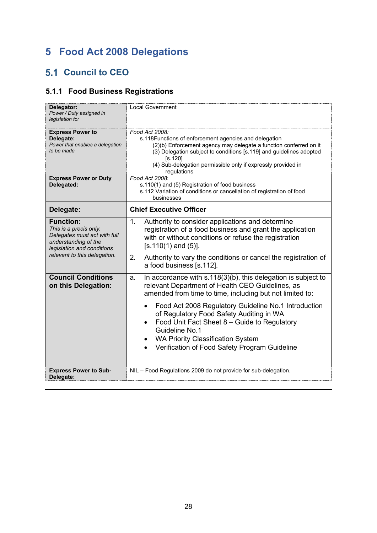# <span id="page-27-0"></span>**5 Food Act 2008 Delegations**

### <span id="page-27-1"></span>**5.1 Council to CEO**

### <span id="page-27-2"></span>**5.1.1 Food Business Registrations**

| Delegator:<br>Power / Duty assigned in<br>legislation to:                                                                                                        | <b>Local Government</b>                                                                                                                                                                                                                                                                                       |
|------------------------------------------------------------------------------------------------------------------------------------------------------------------|---------------------------------------------------------------------------------------------------------------------------------------------------------------------------------------------------------------------------------------------------------------------------------------------------------------|
| <b>Express Power to</b><br>Delegate:<br>Power that enables a delegation<br>to be made                                                                            | Food Act 2008:<br>s.118Functions of enforcement agencies and delegation<br>(2)(b) Enforcement agency may delegate a function conferred on it<br>(3) Delegation subject to conditions [s.119] and guidelines adopted<br>[s.120]<br>(4) Sub-delegation permissible only if expressly provided in<br>regulations |
| <b>Express Power or Duty</b><br>Delegated:                                                                                                                       | Food Act 2008:<br>s.110(1) and (5) Registration of food business<br>s.112 Variation of conditions or cancellation of registration of food<br>businesses                                                                                                                                                       |
| Delegate:                                                                                                                                                        | <b>Chief Executive Officer</b>                                                                                                                                                                                                                                                                                |
| <b>Function:</b><br>This is a precis only.<br>Delegates must act with full<br>understanding of the<br>legislation and conditions<br>relevant to this delegation. | Authority to consider applications and determine<br>1.<br>registration of a food business and grant the application<br>with or without conditions or refuse the registration<br>$[s.110(1)$ and $(5)].$<br>Authority to vary the conditions or cancel the registration of<br>2.<br>a food business [s.112].   |
| <b>Council Conditions</b><br>on this Delegation:                                                                                                                 | In accordance with s.118(3)(b), this delegation is subject to<br>a.<br>relevant Department of Health CEO Guidelines, as<br>amended from time to time, including but not limited to:                                                                                                                           |
|                                                                                                                                                                  | Food Act 2008 Regulatory Guideline No.1 Introduction<br>$\bullet$<br>of Regulatory Food Safety Auditing in WA<br>Food Unit Fact Sheet 8 - Guide to Regulatory<br>Guideline No.1<br><b>WA Priority Classification System</b><br>Verification of Food Safety Program Guideline<br>$\bullet$                     |
| <b>Express Power to Sub-</b><br>Delegate:                                                                                                                        | NIL - Food Regulations 2009 do not provide for sub-delegation.                                                                                                                                                                                                                                                |